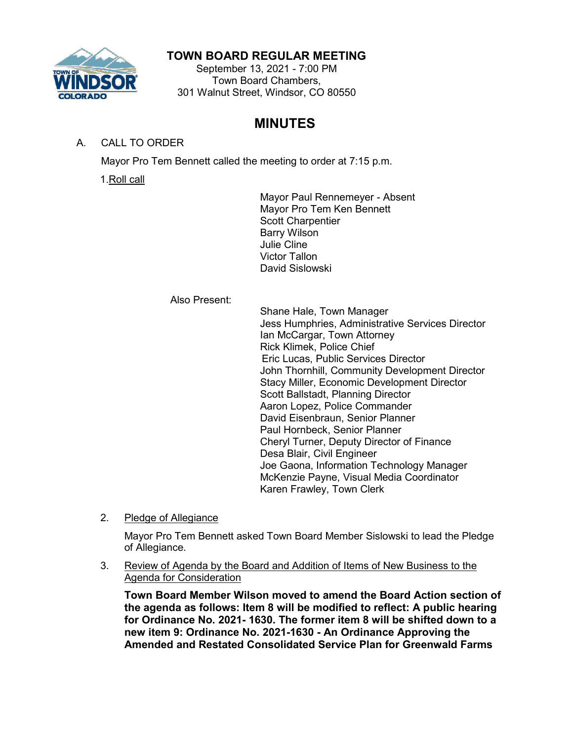

## **TOWN BOARD REGULAR MEETING**

September 13, 2021 - 7:00 PM Town Board Chambers, 301 Walnut Street, Windsor, CO 80550

# **MINUTES**

## A. CALL TO ORDER

Mayor Pro Tem Bennett called the meeting to order at 7:15 p.m.

1.Roll call

Mayor Paul Rennemeyer - Absent Mayor Pro Tem Ken Bennett Scott Charpentier Barry Wilson Julie Cline Victor Tallon David Sislowski

Also Present:

Shane Hale, Town Manager Jess Humphries, Administrative Services Director Ian McCargar, Town Attorney Rick Klimek, Police Chief Eric Lucas, Public Services Director John Thornhill, Community Development Director Stacy Miller, Economic Development Director Scott Ballstadt, Planning Director Aaron Lopez, Police Commander David Eisenbraun, Senior Planner Paul Hornbeck, Senior Planner Cheryl Turner, Deputy Director of Finance Desa Blair, Civil Engineer Joe Gaona, Information Technology Manager McKenzie Payne, Visual Media Coordinator Karen Frawley, Town Clerk

2. Pledge of Allegiance

Mayor Pro Tem Bennett asked Town Board Member Sislowski to lead the Pledge of Allegiance.

3. Review of Agenda by the Board and Addition of Items of New Business to the Agenda for Consideration

**Town Board Member Wilson moved to amend the Board Action section of the agenda as follows: Item 8 will be modified to reflect: A public hearing for Ordinance No. 2021- 1630. The former item 8 will be shifted down to a new item 9: Ordinance No. 2021-1630 - An Ordinance Approving the Amended and Restated Consolidated Service Plan for Greenwald Farms**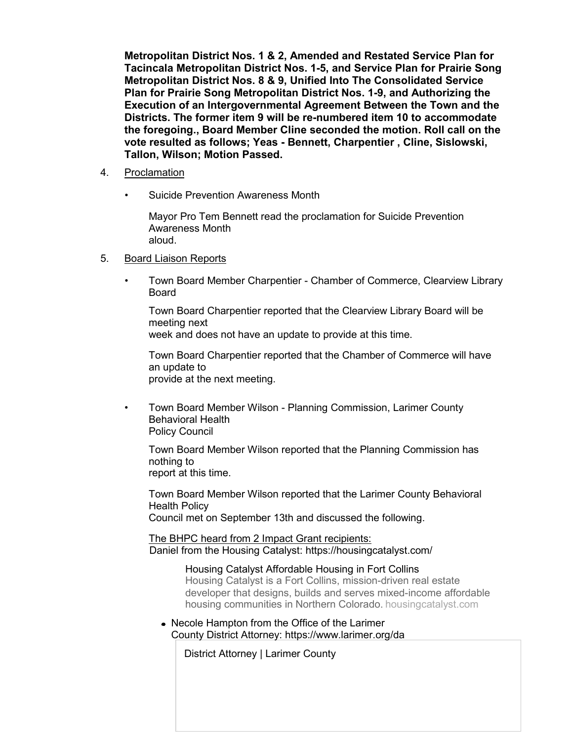**Metropolitan District Nos. 1 & 2, Amended and Restated Service Plan for Tacincala Metropolitan District Nos. 1-5, and Service Plan for Prairie Song Metropolitan District Nos. 8 & 9, Unified Into The Consolidated Service Plan for Prairie Song Metropolitan District Nos. 1-9, and Authorizing the Execution of an Intergovernmental Agreement Between the Town and the Districts. The former item 9 will be re-numbered item 10 to accommodate the foregoing., Board Member Cline seconded the motion. Roll call on the vote resulted as follows; Yeas - Bennett, Charpentier , Cline, Sislowski, Tallon, Wilson; Motion Passed.**

- 4. Proclamation
	- Suicide Prevention Awareness Month

Mayor Pro Tem Bennett read the proclamation for Suicide Prevention Awareness Month aloud.

- 5. Board Liaison Reports
	- Town Board Member Charpentier Chamber of Commerce, Clearview Library Board

Town Board Charpentier reported that the Clearview Library Board will be meeting next

week and does not have an update to provide at this time.

Town Board Charpentier reported that the Chamber of Commerce will have an update to provide at the next meeting.

• Town Board Member Wilson - Planning Commission, Larimer County Behavioral Health Policy Council

Town Board Member Wilson reported that the Planning Commission has nothing to report at this time.

Town Board Member Wilson reported that the Larimer County Behavioral Health Policy

Council met on September 13th and discussed the following.

The BHPC heard from 2 Impact Grant recipients: Daniel from the Housing Catalyst:<https://housingcatalyst.com/>

> [Housing Catalyst Affordable Housing in Fort Collins](https://housingcatalyst.com/) Housing Catalyst is a Fort Collins, mission-driven real estate developer that designs, builds and serves mixed-income affordable housing communities in [Northern Colorado.](https://housingcatalyst.com/) housingcatalyst.com

Necole Hampton from the Office of the Larimer County District Attorney:<https://www.larimer.org/da>

[District Attorney | Larimer County](https://www.larimer.org/da)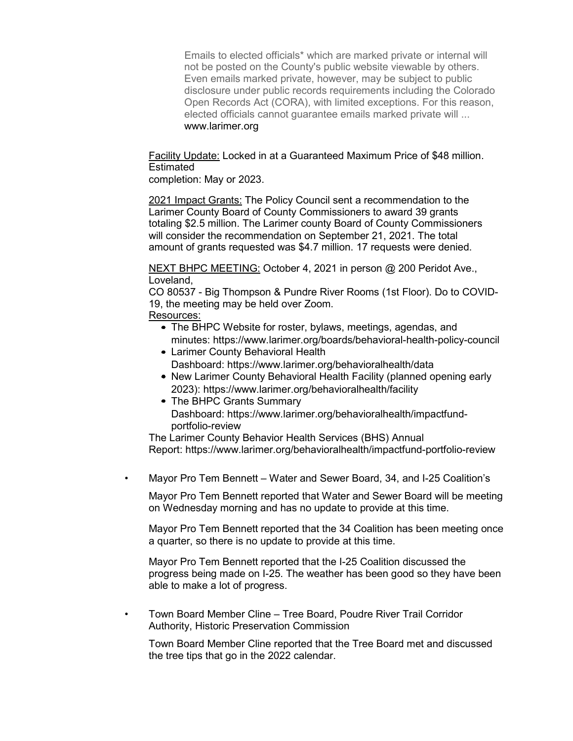Emails to elected officials\* which are marked private or internal will not be posted on the County's public website viewable by others. Even emails marked private, however, may be subject to public disclosure under public records requirements including the Colorado Open Records Act (CORA), with limited exceptions. For this reason, elected officials cannot guarantee emails marked private will ... [www.larimer.org](http://www.larimer.org/)

Facility Update: Locked in at a Guaranteed Maximum Price of \$48 million. Estimated

completion: May or 2023.

2021 Impact Grants: The Policy Council sent a recommendation to the Larimer County Board of County Commissioners to award 39 grants totaling \$2.5 million. The Larimer county Board of County Commissioners will consider the recommendation on September 21, 2021. The total amount of grants requested was \$4.7 million. 17 requests were denied.

NEXT BHPC MEETING: October 4, 2021 in person @ 200 Peridot Ave., Loveland,

CO 80537 - Big Thompson & Pundre River Rooms (1st Floor). Do to COVID-19, the meeting may be held over Zoom.

## Resources:

- The BHPC Website for roster, bylaws, meetings, agendas, and minutes:<https://www.larimer.org/boards/behavioral-health-policy-council>
- Larimer County Behavioral Health Dashboard:<https://www.larimer.org/behavioralhealth/data>
- New Larimer County Behavioral Health Facility (planned opening early 2023):<https://www.larimer.org/behavioralhealth/facility>
- The BHPC Grants Summary Dashboard: [https://www.larimer.org/behavioralhealth/impactfund](https://www.larimer.org/behavioralhealth/impactfund-portfolio-review)[portfolio-review](https://www.larimer.org/behavioralhealth/impactfund-portfolio-review)

The Larimer County Behavior Health Services (BHS) Annual Report:<https://www.larimer.org/behavioralhealth/impactfund-portfolio-review>

• Mayor Pro Tem Bennett – Water and Sewer Board, 34, and I-25 Coalition's

Mayor Pro Tem Bennett reported that Water and Sewer Board will be meeting on Wednesday morning and has no update to provide at this time.

Mayor Pro Tem Bennett reported that the 34 Coalition has been meeting once a quarter, so there is no update to provide at this time.

Mayor Pro Tem Bennett reported that the I-25 Coalition discussed the progress being made on I-25. The weather has been good so they have been able to make a lot of progress.

• Town Board Member Cline – Tree Board, Poudre River Trail Corridor Authority, Historic Preservation Commission

Town Board Member Cline reported that the Tree Board met and discussed the tree tips that go in the 2022 calendar.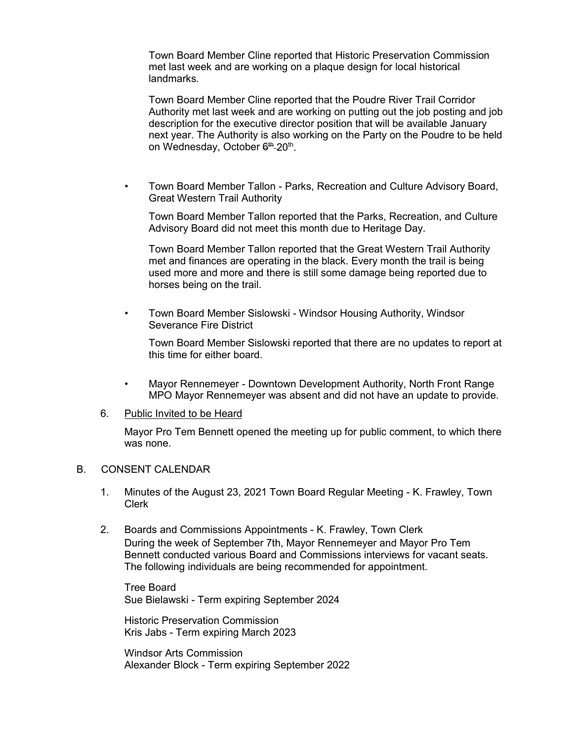Town Board Member Cline reported that Historic Preservation Commission met last week and are working on a plaque design for local historical landmarks.

Town Board Member Cline reported that the Poudre River Trail Corridor Authority met last week and are working on putting out the job posting and job description for the executive director position that will be available January next year. The Authority is also working on the Party on the Poudre to be held on Wednesday, October 6<sup>th</sup>-20<sup>th</sup>.

• Town Board Member Tallon - Parks, Recreation and Culture Advisory Board, Great Western Trail Authority

Town Board Member Tallon reported that the Parks, Recreation, and Culture Advisory Board did not meet this month due to Heritage Day.

Town Board Member Tallon reported that the Great Western Trail Authority met and finances are operating in the black. Every month the trail is being used more and more and there is still some damage being reported due to horses being on the trail.

• Town Board Member Sislowski - Windsor Housing Authority, Windsor Severance Fire District

Town Board Member Sislowski reported that there are no updates to report at this time for either board.

- Mayor Rennemeyer Downtown Development Authority, North Front Range MPO Mayor Rennemeyer was absent and did not have an update to provide.
- 6. Public Invited to be Heard

Mayor Pro Tem Bennett opened the meeting up for public comment, to which there was none.

#### B. CONSENT CALENDAR

- 1. Minutes of the August 23, 2021 Town Board Regular Meeting K. Frawley, Town Clerk
- 2. Boards and Commissions Appointments K. Frawley, Town Clerk During the week of September 7th, Mayor Rennemeyer and Mayor Pro Tem Bennett conducted various Board and Commissions interviews for vacant seats. The following individuals are being recommended for appointment.

Tree Board Sue Bielawski - Term expiring September 2024

Historic Preservation Commission Kris Jabs - Term expiring March 2023

Windsor Arts Commission Alexander Block - Term expiring September 2022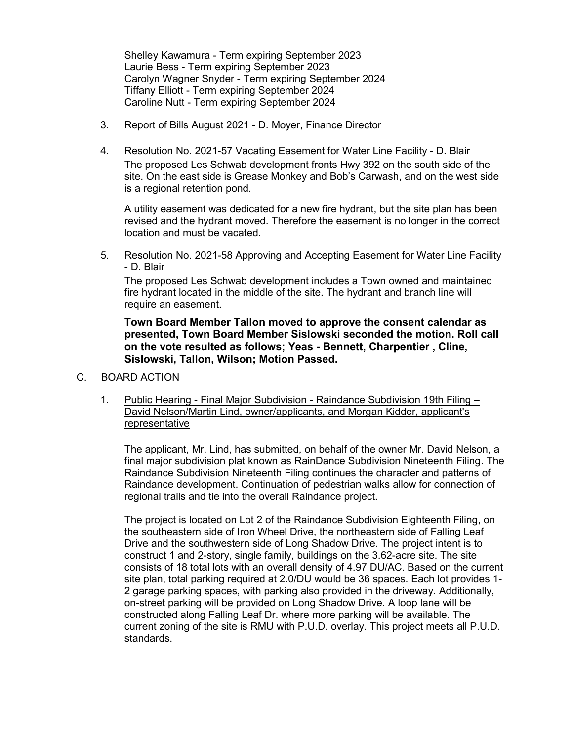Shelley Kawamura - Term expiring September 2023 Laurie Bess - Term expiring September 2023 Carolyn Wagner Snyder - Term expiring September 2024 Tiffany Elliott - Term expiring September 2024 Caroline Nutt - Term expiring September 2024

- 3. Report of Bills August 2021 D. Moyer, Finance Director
- 4. Resolution No. 2021-57 Vacating Easement for Water Line Facility D. Blair The proposed Les Schwab development fronts Hwy 392 on the south side of the site. On the east side is Grease Monkey and Bob's Carwash, and on the west side is a regional retention pond.

A utility easement was dedicated for a new fire hydrant, but the site plan has been revised and the hydrant moved. Therefore the easement is no longer in the correct location and must be vacated.

5. Resolution No. 2021-58 Approving and Accepting Easement for Water Line Facility - D. Blair

The proposed Les Schwab development includes a Town owned and maintained fire hydrant located in the middle of the site. The hydrant and branch line will require an easement.

**Town Board Member Tallon moved to approve the consent calendar as presented, Town Board Member Sislowski seconded the motion. Roll call on the vote resulted as follows; Yeas - Bennett, Charpentier , Cline, Sislowski, Tallon, Wilson; Motion Passed.**

- C. BOARD ACTION
	- 1. Public Hearing Final Major Subdivision Raindance Subdivision 19th Filing David Nelson/Martin Lind, owner/applicants, and Morgan Kidder, applicant's representative

The applicant, Mr. Lind, has submitted, on behalf of the owner Mr. David Nelson, a final major subdivision plat known as RainDance Subdivision Nineteenth Filing. The Raindance Subdivision Nineteenth Filing continues the character and patterns of Raindance development. Continuation of pedestrian walks allow for connection of regional trails and tie into the overall Raindance project.

The project is located on Lot 2 of the Raindance Subdivision Eighteenth Filing, on the southeastern side of Iron Wheel Drive, the northeastern side of Falling Leaf Drive and the southwestern side of Long Shadow Drive. The project intent is to construct 1 and 2-story, single family, buildings on the 3.62-acre site. The site consists of 18 total lots with an overall density of 4.97 DU/AC. Based on the current site plan, total parking required at 2.0/DU would be 36 spaces. Each lot provides 1- 2 garage parking spaces, with parking also provided in the driveway. Additionally, on-street parking will be provided on Long Shadow Drive. A loop lane will be constructed along Falling Leaf Dr. where more parking will be available. The current zoning of the site is RMU with P.U.D. overlay. This project meets all P.U.D. standards.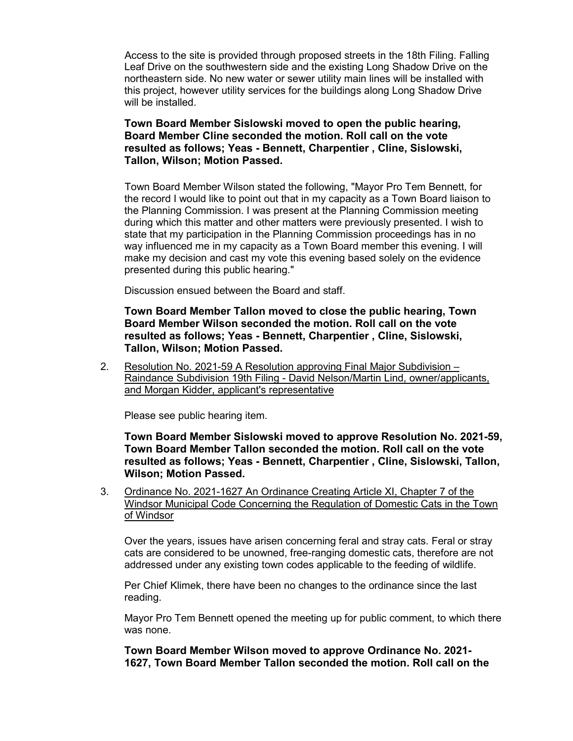Access to the site is provided through proposed streets in the 18th Filing. Falling Leaf Drive on the southwestern side and the existing Long Shadow Drive on the northeastern side. No new water or sewer utility main lines will be installed with this project, however utility services for the buildings along Long Shadow Drive will be installed.

#### **Town Board Member Sislowski moved to open the public hearing, Board Member Cline seconded the motion. Roll call on the vote resulted as follows; Yeas - Bennett, Charpentier , Cline, Sislowski, Tallon, Wilson; Motion Passed.**

Town Board Member Wilson stated the following, "Mayor Pro Tem Bennett, for the record I would like to point out that in my capacity as a Town Board liaison to the Planning Commission. I was present at the Planning Commission meeting during which this matter and other matters were previously presented. I wish to state that my participation in the Planning Commission proceedings has in no way influenced me in my capacity as a Town Board member this evening. I will make my decision and cast my vote this evening based solely on the evidence presented during this public hearing."

Discussion ensued between the Board and staff.

## **Town Board Member Tallon moved to close the public hearing, Town Board Member Wilson seconded the motion. Roll call on the vote resulted as follows; Yeas - Bennett, Charpentier , Cline, Sislowski, Tallon, Wilson; Motion Passed.**

2. Resolution No. 2021-59 A Resolution approving Final Major Subdivision – Raindance Subdivision 19th Filing - David Nelson/Martin Lind, owner/applicants, and Morgan Kidder, applicant's representative

Please see public hearing item.

**Town Board Member Sislowski moved to approve Resolution No. 2021-59, Town Board Member Tallon seconded the motion. Roll call on the vote resulted as follows; Yeas - Bennett, Charpentier , Cline, Sislowski, Tallon, Wilson; Motion Passed.**

3. Ordinance No. 2021-1627 An Ordinance Creating Article XI, Chapter 7 of the Windsor Municipal Code Concerning the Regulation of Domestic Cats in the Town of Windsor

Over the years, issues have arisen concerning feral and stray cats. Feral or stray cats are considered to be unowned, free-ranging domestic cats, therefore are not addressed under any existing town codes applicable to the feeding of wildlife.

Per Chief Klimek, there have been no changes to the ordinance since the last reading.

Mayor Pro Tem Bennett opened the meeting up for public comment, to which there was none.

**Town Board Member Wilson moved to approve Ordinance No. 2021- 1627, Town Board Member Tallon seconded the motion. Roll call on the**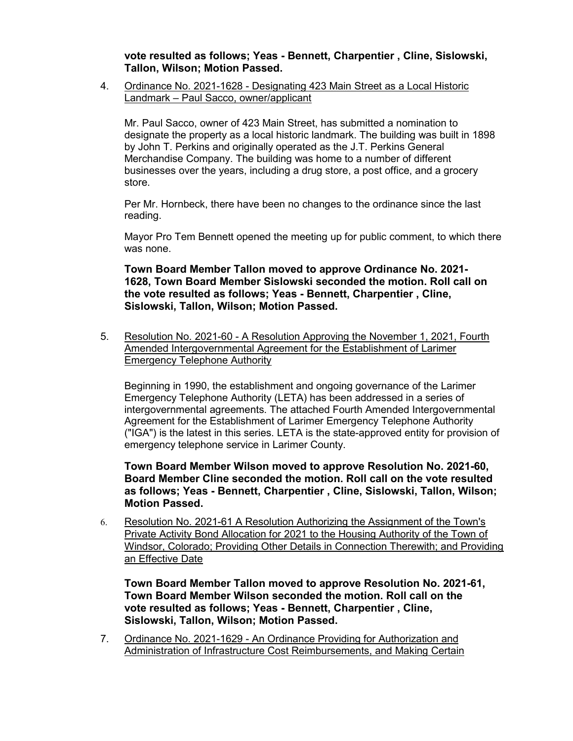**vote resulted as follows; Yeas - Bennett, Charpentier , Cline, Sislowski, Tallon, Wilson; Motion Passed.**

4. Ordinance No. 2021-1628 - Designating 423 Main Street as a Local Historic Landmark – Paul Sacco, owner/applicant

Mr. Paul Sacco, owner of 423 Main Street, has submitted a nomination to designate the property as a local historic landmark. The building was built in 1898 by John T. Perkins and originally operated as the J.T. Perkins General Merchandise Company. The building was home to a number of different businesses over the years, including a drug store, a post office, and a grocery store.

Per Mr. Hornbeck, there have been no changes to the ordinance since the last reading.

Mayor Pro Tem Bennett opened the meeting up for public comment, to which there was none.

**Town Board Member Tallon moved to approve Ordinance No. 2021- 1628, Town Board Member Sislowski seconded the motion. Roll call on the vote resulted as follows; Yeas - Bennett, Charpentier , Cline, Sislowski, Tallon, Wilson; Motion Passed.**

5. Resolution No. 2021-60 - A Resolution Approving the November 1, 2021, Fourth Amended Intergovernmental Agreement for the Establishment of Larimer Emergency Telephone Authority

Beginning in 1990, the establishment and ongoing governance of the Larimer Emergency Telephone Authority (LETA) has been addressed in a series of intergovernmental agreements. The attached Fourth Amended Intergovernmental Agreement for the Establishment of Larimer Emergency Telephone Authority ("IGA") is the latest in this series. LETA is the state-approved entity for provision of emergency telephone service in Larimer County.

**Town Board Member Wilson moved to approve Resolution No. 2021-60, Board Member Cline seconded the motion. Roll call on the vote resulted as follows; Yeas - Bennett, Charpentier , Cline, Sislowski, Tallon, Wilson; Motion Passed.**

6. Resolution No. 2021-61 A Resolution Authorizing the Assignment of the Town's Private Activity Bond Allocation for 2021 to the Housing Authority of the Town of Windsor, Colorado; Providing Other Details in Connection Therewith; and Providing an Effective Date

**Town Board Member Tallon moved to approve Resolution No. 2021-61, Town Board Member Wilson seconded the motion. Roll call on the vote resulted as follows; Yeas - Bennett, Charpentier , Cline, Sislowski, Tallon, Wilson; Motion Passed.**

7. Ordinance No. 2021-1629 - An Ordinance Providing for Authorization and Administration of Infrastructure Cost Reimbursements, and Making Certain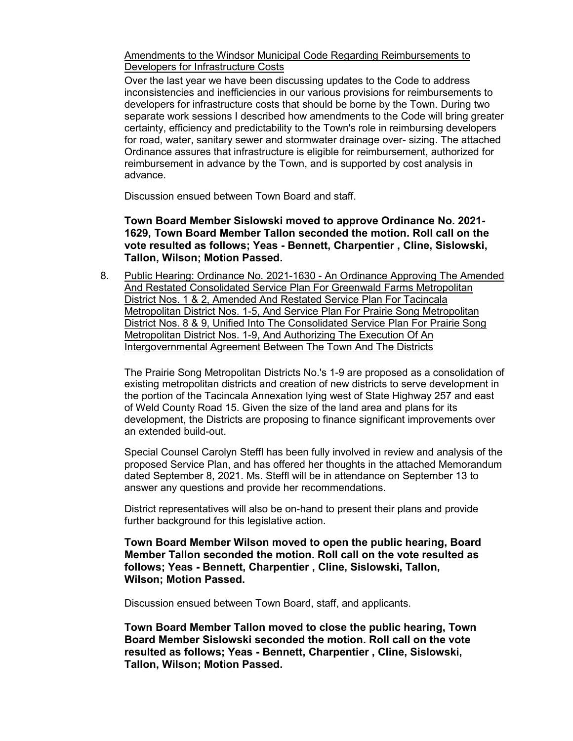Amendments to the Windsor Municipal Code Regarding Reimbursements to Developers for Infrastructure Costs

Over the last year we have been discussing updates to the Code to address inconsistencies and inefficiencies in our various provisions for reimbursements to developers for infrastructure costs that should be borne by the Town. During two separate work sessions I described how amendments to the Code will bring greater certainty, efficiency and predictability to the Town's role in reimbursing developers for road, water, sanitary sewer and stormwater drainage over- sizing. The attached Ordinance assures that infrastructure is eligible for reimbursement, authorized for reimbursement in advance by the Town, and is supported by cost analysis in advance.

Discussion ensued between Town Board and staff.

## **Town Board Member Sislowski moved to approve Ordinance No. 2021- 1629, Town Board Member Tallon seconded the motion. Roll call on the vote resulted as follows; Yeas - Bennett, Charpentier , Cline, Sislowski, Tallon, Wilson; Motion Passed.**

8. Public Hearing: Ordinance No. 2021-1630 - An Ordinance Approving The Amended And Restated Consolidated Service Plan For Greenwald Farms Metropolitan District Nos. 1 & 2, Amended And Restated Service Plan For Tacincala Metropolitan District Nos. 1-5, And Service Plan For Prairie Song Metropolitan District Nos. 8 & 9, Unified Into The Consolidated Service Plan For Prairie Song Metropolitan District Nos. 1-9, And Authorizing The Execution Of An Intergovernmental Agreement Between The Town And The Districts

The Prairie Song Metropolitan Districts No.'s 1-9 are proposed as a consolidation of existing metropolitan districts and creation of new districts to serve development in the portion of the Tacincala Annexation lying west of State Highway 257 and east of Weld County Road 15. Given the size of the land area and plans for its development, the Districts are proposing to finance significant improvements over an extended build-out.

Special Counsel Carolyn Steffl has been fully involved in review and analysis of the proposed Service Plan, and has offered her thoughts in the attached Memorandum dated September 8, 2021. Ms. Steffl will be in attendance on September 13 to answer any questions and provide her recommendations.

District representatives will also be on-hand to present their plans and provide further background for this legislative action.

**Town Board Member Wilson moved to open the public hearing, Board Member Tallon seconded the motion. Roll call on the vote resulted as follows; Yeas - Bennett, Charpentier , Cline, Sislowski, Tallon, Wilson; Motion Passed.**

Discussion ensued between Town Board, staff, and applicants.

**Town Board Member Tallon moved to close the public hearing, Town Board Member Sislowski seconded the motion. Roll call on the vote resulted as follows; Yeas - Bennett, Charpentier , Cline, Sislowski, Tallon, Wilson; Motion Passed.**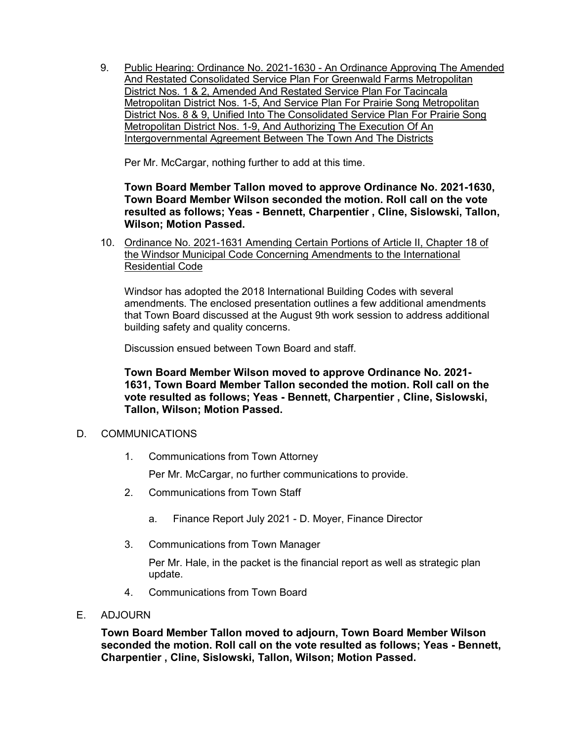9. Public Hearing: Ordinance No. 2021-1630 - An Ordinance Approving The Amended And Restated Consolidated Service Plan For Greenwald Farms Metropolitan District Nos. 1 & 2, Amended And Restated Service Plan For Tacincala Metropolitan District Nos. 1-5, And Service Plan For Prairie Song Metropolitan District Nos. 8 & 9, Unified Into The Consolidated Service Plan For Prairie Song Metropolitan District Nos. 1-9, And Authorizing The Execution Of An Intergovernmental Agreement Between The Town And The Districts

Per Mr. McCargar, nothing further to add at this time.

**Town Board Member Tallon moved to approve Ordinance No. 2021-1630, Town Board Member Wilson seconded the motion. Roll call on the vote resulted as follows; Yeas - Bennett, Charpentier , Cline, Sislowski, Tallon, Wilson; Motion Passed.**

10. Ordinance No. 2021-1631 Amending Certain Portions of Article II, Chapter 18 of the Windsor Municipal Code Concerning Amendments to the International Residential Code

Windsor has adopted the 2018 International Building Codes with several amendments. The enclosed presentation outlines a few additional amendments that Town Board discussed at the August 9th work session to address additional building safety and quality concerns.

Discussion ensued between Town Board and staff.

**Town Board Member Wilson moved to approve Ordinance No. 2021- 1631, Town Board Member Tallon seconded the motion. Roll call on the vote resulted as follows; Yeas - Bennett, Charpentier , Cline, Sislowski, Tallon, Wilson; Motion Passed.**

## D. COMMUNICATIONS

1. Communications from Town Attorney

Per Mr. McCargar, no further communications to provide.

- 2. Communications from Town Staff
	- a. Finance Report July 2021 D. Moyer, Finance Director
- 3. Communications from Town Manager

Per Mr. Hale, in the packet is the financial report as well as strategic plan update.

- 4. Communications from Town Board
- E. ADJOURN

**Town Board Member Tallon moved to adjourn, Town Board Member Wilson seconded the motion. Roll call on the vote resulted as follows; Yeas - Bennett, Charpentier , Cline, Sislowski, Tallon, Wilson; Motion Passed.**